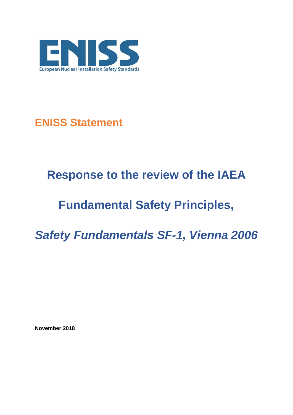

**ENISS Statement**

## **Response to the review of the IAEA**

## **Fundamental Safety Principles,**

*Safety Fundamentals SF-1, Vienna 2006*

**November 2018**